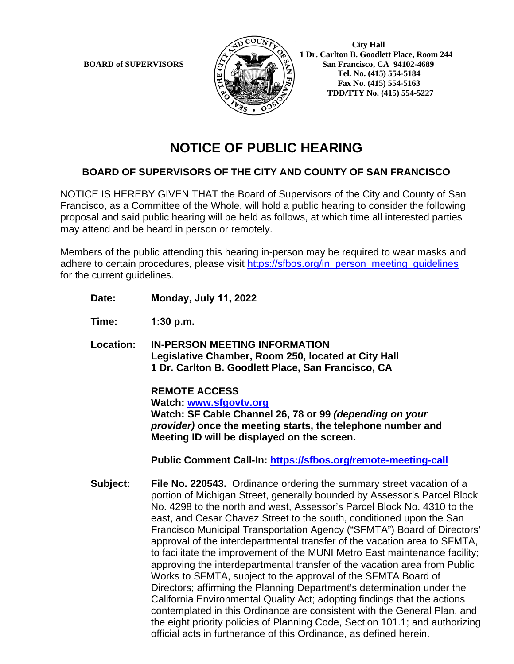

 **City Hall 1 Dr. Carlton B. Goodlett Place, Room 244 BOARD** of SUPERVISORS  $\left(\frac{S}{I}\right)$   $\oplus$   $\left(\frac{S}{I}\right)$  San Francisco, CA 94102-4689  **Tel. No. (415) 554-5184 Fax No. (415) 554-5163 TDD/TTY No. (415) 554-5227**

# **NOTICE OF PUBLIC HEARING**

### **BOARD OF SUPERVISORS OF THE CITY AND COUNTY OF SAN FRANCISCO**

NOTICE IS HEREBY GIVEN THAT the Board of Supervisors of the City and County of San Francisco, as a Committee of the Whole, will hold a public hearing to consider the following proposal and said public hearing will be held as follows, at which time all interested parties may attend and be heard in person or remotely.

Members of the public attending this hearing in-person may be required to wear masks and adhere to certain procedures, please visit [https://sfbos.org/in\\_person\\_meeting\\_guidelines](https://sfbos.org/in_person_meeting_guidelines) for the current guidelines.

**Date: Monday, July 11, 2022** 

**Time: 1:30 p.m.** 

**Location: IN-PERSON MEETING INFORMATION Legislative Chamber, Room 250, located at City Hall 1 Dr. Carlton B. Goodlett Place, San Francisco, CA**

> **REMOTE ACCESS Watch: [www.sfgovtv.org](http://www.sfgovtv.org/) Watch: SF Cable Channel 26, 78 or 99** *(depending on your provider)* **once the meeting starts, the telephone number and Meeting ID will be displayed on the screen.**

**Public Comment Call-In:<https://sfbos.org/remote-meeting-call>**

**Subject: File No. 220543.** Ordinance ordering the summary street vacation of a portion of Michigan Street, generally bounded by Assessor's Parcel Block No. 4298 to the north and west, Assessor's Parcel Block No. 4310 to the east, and Cesar Chavez Street to the south, conditioned upon the San Francisco Municipal Transportation Agency ("SFMTA") Board of Directors' approval of the interdepartmental transfer of the vacation area to SFMTA, to facilitate the improvement of the MUNI Metro East maintenance facility; approving the interdepartmental transfer of the vacation area from Public Works to SFMTA, subject to the approval of the SFMTA Board of Directors; affirming the Planning Department's determination under the California Environmental Quality Act; adopting findings that the actions contemplated in this Ordinance are consistent with the General Plan, and the eight priority policies of Planning Code, Section 101.1; and authorizing official acts in furtherance of this Ordinance, as defined herein.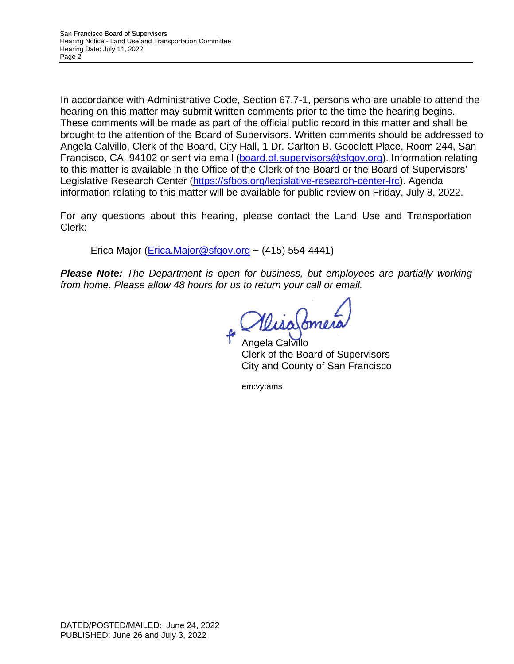In accordance with Administrative Code, Section 67.7-1, persons who are unable to attend the hearing on this matter may submit written comments prior to the time the hearing begins. These comments will be made as part of the official public record in this matter and shall be brought to the attention of the Board of Supervisors. Written comments should be addressed to Angela Calvillo, Clerk of the Board, City Hall, 1 Dr. Carlton B. Goodlett Place, Room 244, San Francisco, CA, 94102 or sent via email [\(board.of.supervisors@sfgov.org\)](mailto:board.of.supervisors@sfgov.org). Information relating to this matter is available in the Office of the Clerk of the Board or the Board of Supervisors' Legislative Research Center [\(https://sfbos.org/legislative-research-center-lrc\)](https://sfbos.org/legislative-research-center-lrc). Agenda information relating to this matter will be available for public review on Friday, July 8, 2022.

For any questions about this hearing, please contact the Land Use and Transportation Clerk:

Erica Major  $(Erica.Major@sfgov.org ~ (415) 554-4441)$  $(Erica.Major@sfgov.org ~ (415) 554-4441)$ 

*Please Note: The Department is open for business, but employees are partially working from home. Please allow 48 hours for us to return your call or email.* 

MisaSomera

Angela Calvillo Clerk of the Board of Supervisors City and County of San Francisco

em:vy:ams